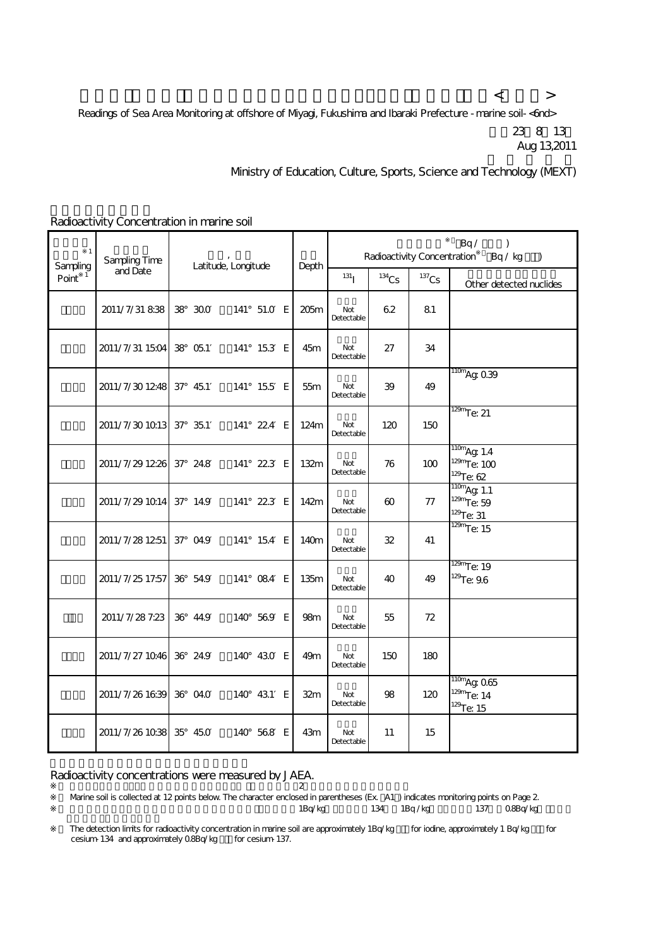$\langle$  and  $\langle$  and  $\rangle$  and  $\langle$  and  $\langle$  and  $\rangle$  and  $\langle$  and  $\rangle$ Readings of Sea Area Monitoring at offshore of Myagi, Fukushima and Ibaraki Prefecture - marine soil-<br/>
<a>
Keadings of Sea Area Monitoring at offshore of Myagi, Fukushima and Ibaraki Prefecture - marine soil-<<r/>
<a> 平成23年8月13日 Aug 13,2011

Ministry of Education, Culture, Sports, Science and Technology (MEXT)

| $\mathbf{1}$<br>Sampling | Sampling Time<br>and Date | Latitude, Longitude |             | Depth | Bq/<br>$\lambda$<br>Radioactivity Concentration<br>Bq / kg<br>$\lambda$ |          |          |                                                          |
|--------------------------|---------------------------|---------------------|-------------|-------|-------------------------------------------------------------------------|----------|----------|----------------------------------------------------------|
| Point $1$                |                           |                     |             |       | 131                                                                     | $134$ CS | $137$ Cs | Other detected nuclides                                  |
|                          | 2011/7/31 838             | 38 300              | 141° 51.0 E | 205m  | Not<br>Detectable                                                       | 62       | 81       |                                                          |
|                          | 2011/7/31 1504 38 051     |                     | 141° 153 E  | 45m   | Not<br>Detectable                                                       | 27       | 34       |                                                          |
|                          | 2011/7/301248 37°45.1     |                     | 141° 155 E  | 55m   | Not<br>Detectable                                                       | 39       | 49       | $\frac{110m}{9}$ Ag Q39                                  |
|                          | 2011/7/30 1013 37° 351    |                     | 141° 224 E  | 124m  | Not<br>Detectable                                                       | 120      | 150      | $\frac{129m}{129m}$ e: 21                                |
|                          | 2011/7/29 1226 37° 24.8   |                     | 141° 223 E  | 132m  | Not<br>Detectable                                                       | 76       | 100      | $110m$ Aq: 1.4<br>$129m$ Te: 100<br>$129$ Te: 62         |
|                          | 2011/7/29 1014 37° 14.9   |                     | 141° 223 E  | 142m  | Not<br>Detectable                                                       | 60       | 77       | $\frac{110m}{9}$ Ag 1.1<br>$129m$ Te: 59<br>$129$ Te: 31 |
|                          | 2011/7/28 1251            | $37^{\circ}$ 04.9   | 141° 154 E  | 140m  | Not<br>Detectable                                                       | 32       | 41       | $\frac{129m}{129m}$ (e. 15                               |
|                          | 2011/7/25 17:57           | 36° 54.9            | 141° 084 E  | 135m  | Not<br>Detectable                                                       | 40       | 49       | $\frac{129m}{129m}$ e: 19<br>$129$ Te: 9.6               |
|                          | 2011/7/28 7:23            | 36° 44.9            | 140° 569 E  | 98m   | Not<br>Detectable                                                       | 55       | 72       |                                                          |
|                          | 2011/7/27 1046 36° 24.9   |                     | 140° 430 E  | 49m   | Not<br>Detectable                                                       | 150      | 180      |                                                          |
|                          | 2011/7/26 1639            | 36° 04.0            | 140° 431 E  | 32m   | Not<br>Detectable                                                       | 98       | 120      | $\frac{110m}{9}$ Ag Q65<br>$129m$ Te: 14<br>$129$ Te: 15 |
|                          | 2011/7/26 1038            | 35° 45.0            | 140° 568 E  | 43m   | Not<br>Detectable                                                       | 11       | 15       |                                                          |

Radioactivity Concentration in marine soil

Radioactivity concentrations were measured by JAEA.

 $\overline{2}$ Warine soil is collected at 12 points below. The character enclosed in parentheses (Ex. A1) indicates monitoring points on Page 2. 1Bq/kg 134 1Bq/kg 137 0.8Bq/kg

The detection limits for radioactivity concentration in marine soil are approximately 1Bq/kg for iodine, approximately 1 Bq/kg for cesium-134 and approximately Q8Bq/kg for cesium-137.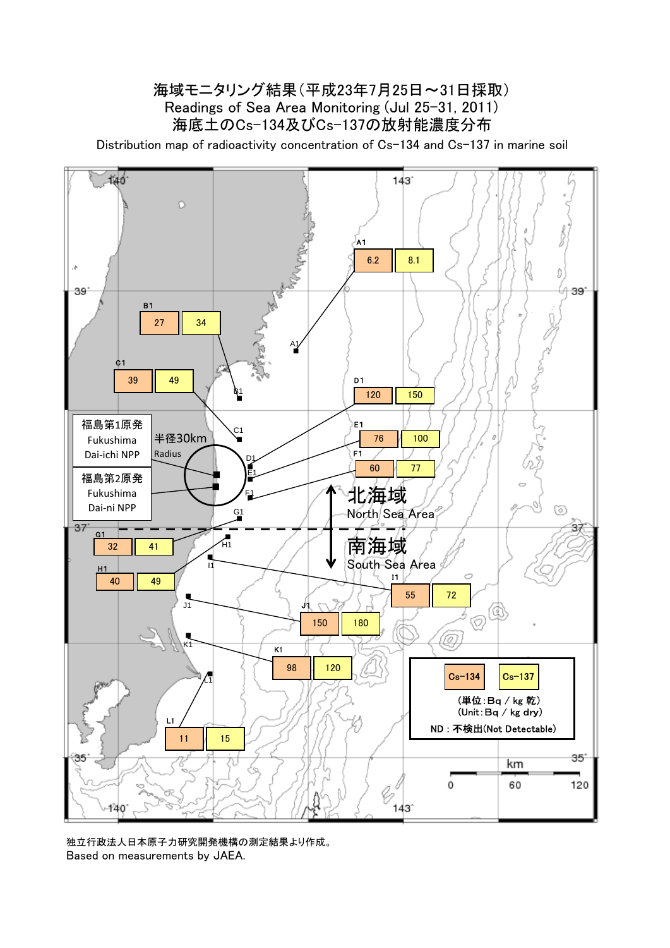## 海底土のCs-134及びCs-137の放射能濃度分布 海域モニタリング結果(平成23年7月25日~31日採取) Readings of Sea Area Monitoring (Jul 25-31, 2011)

Distribution map of radioactivity concentration of Cs-134 and Cs-137 in marine soil



独立行政法人日本原子力研究開発機構の測定結果より作成。 Based on measurements by JAEA.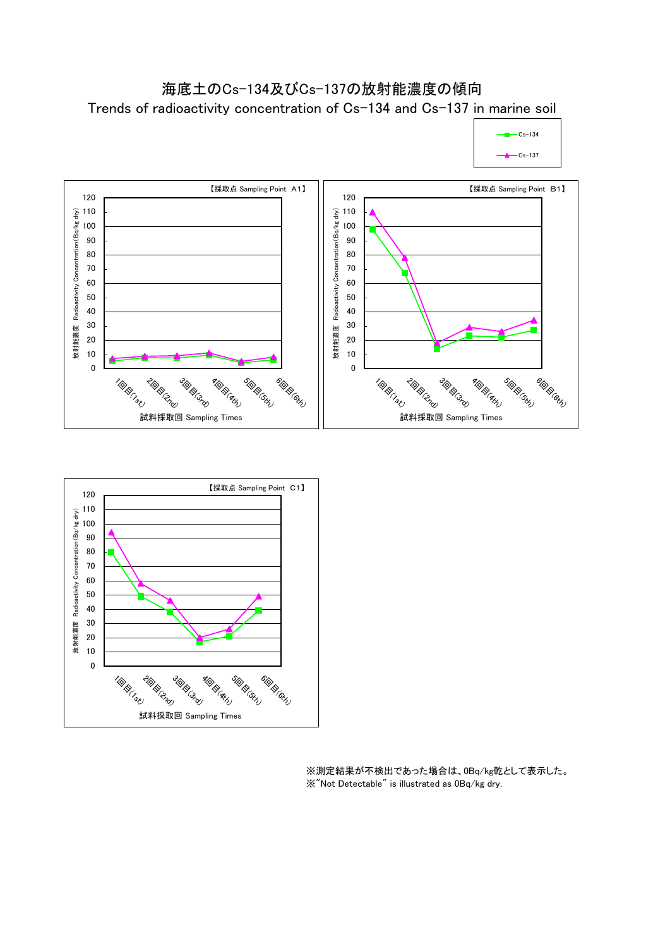

 $-Cs-134$ 





※測定結果が不検出であった場合は、0Bq/kg乾として表示した。 ※"Not Detectable" is illustrated as 0Bq/kg dry.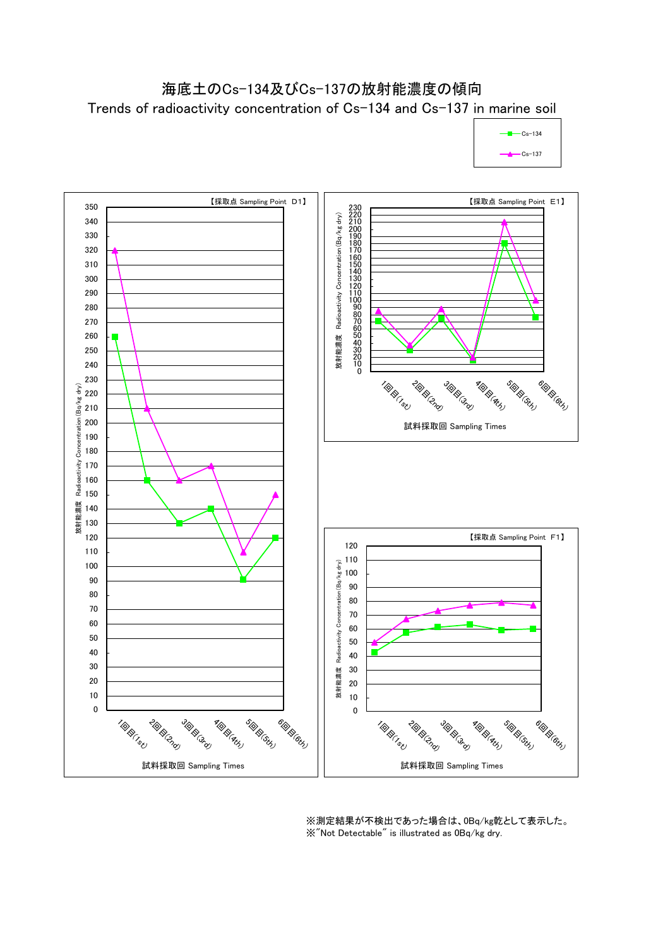## 海底土のCs-134及びCs-137の放射能濃度の傾向 Trends of radioactivity concentration of Cs-134 and Cs-137 in marine soil





※測定結果が不検出であった場合は、0Bq/kg乾として表示した。 ※"Not Detectable" is illustrated as 0Bq/kg dry.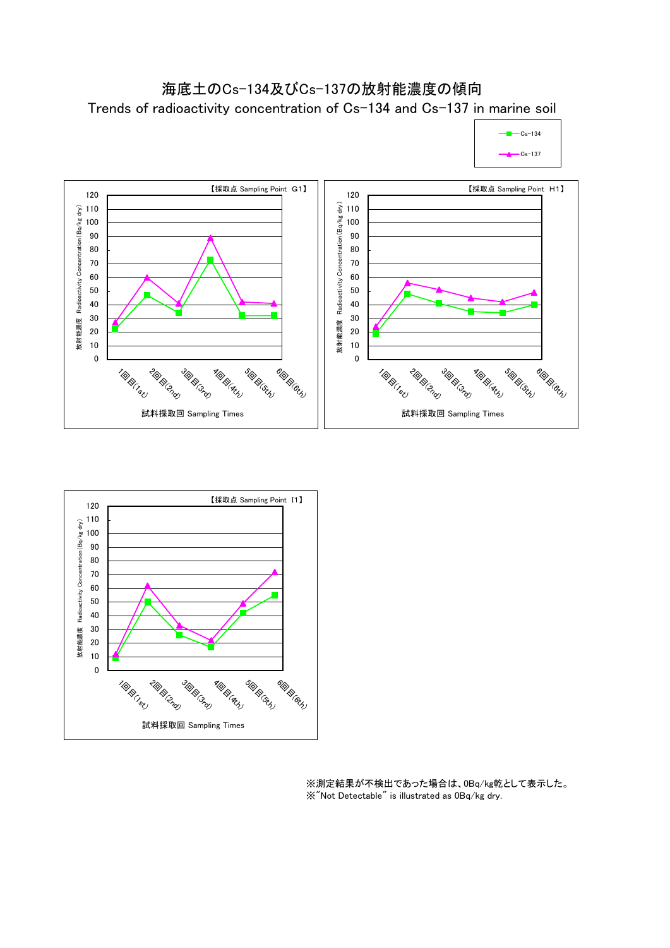





※測定結果が不検出であった場合は、0Bq/kg乾として表示した。 ※"Not Detectable" is illustrated as 0Bq/kg dry.